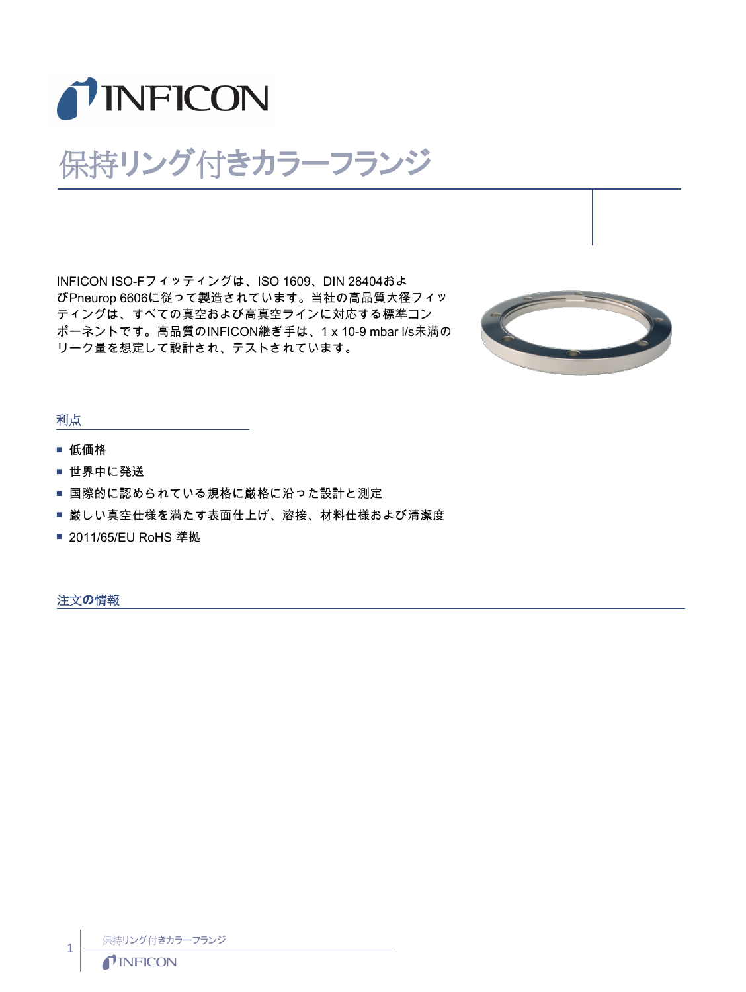

## 保持リング付きカラーフランジ

INFICON ISO-Fフィッティングは、ISO 1609、DIN 28404およ びPneurop 6606に従って製造されています。当社の高品質大径フィッ ティングは、すべての真空および高真空ラインに対応する標準コン ポーネントです。高品質のINFICON継ぎ手は、1 x 10-9 mbar l/s未満の リーク量を想定して設計され、テストされています。



## 利点

- 低価格
- 世界中に発送
- 国際的に認められている規格に厳格に沿った設計と測定
- 厳しい真空仕様を満たす表面仕上げ、溶接、材料仕様および清潔度
- 2011/65/EU RoHS 準拠

注文の情報

保持リング付きカラーフランジ

1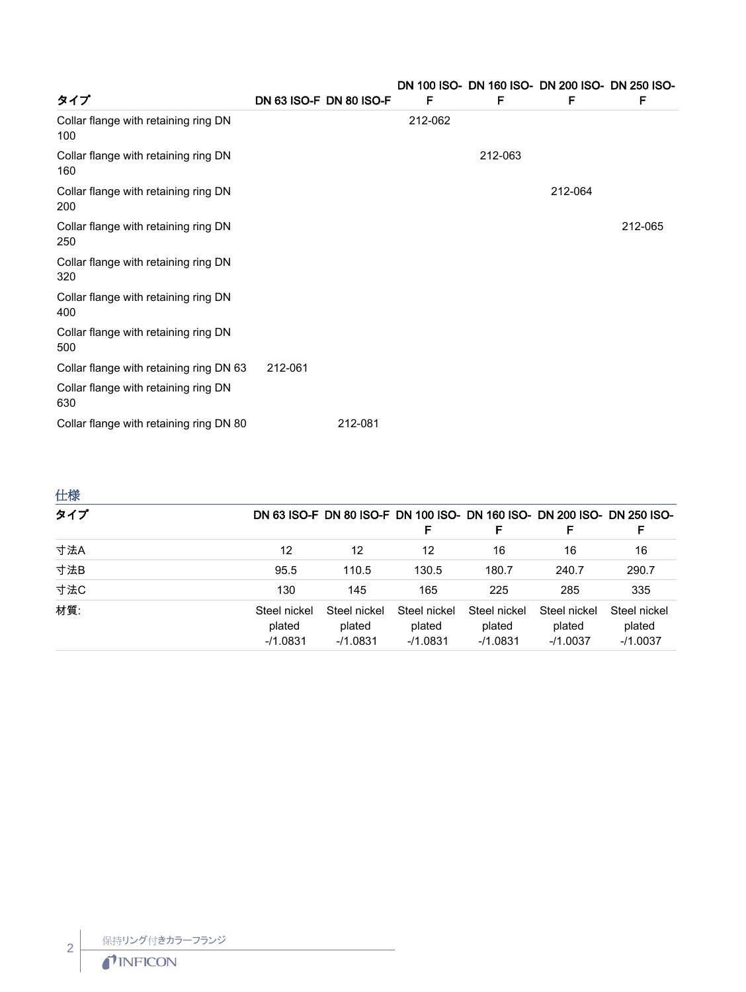| タイプ                                         | DN 63 ISO-F DN 80 ISO-F |         | F       | DN 100 ISO- DN 160 ISO- DN 200 ISO- DN 250 ISO-<br>F | F       | F       |
|---------------------------------------------|-------------------------|---------|---------|------------------------------------------------------|---------|---------|
| Collar flange with retaining ring DN<br>100 |                         |         | 212-062 |                                                      |         |         |
| Collar flange with retaining ring DN<br>160 |                         |         |         | 212-063                                              |         |         |
| Collar flange with retaining ring DN<br>200 |                         |         |         |                                                      | 212-064 |         |
| Collar flange with retaining ring DN<br>250 |                         |         |         |                                                      |         | 212-065 |
| Collar flange with retaining ring DN<br>320 |                         |         |         |                                                      |         |         |
| Collar flange with retaining ring DN<br>400 |                         |         |         |                                                      |         |         |
| Collar flange with retaining ring DN<br>500 |                         |         |         |                                                      |         |         |
| Collar flange with retaining ring DN 63     | 212-061                 |         |         |                                                      |         |         |
| Collar flange with retaining ring DN<br>630 |                         |         |         |                                                      |         |         |
| Collar flange with retaining ring DN 80     |                         | 212-081 |         |                                                      |         |         |

| 仕様  |                                      |                                      |                                     |                                      |                                      |                                                                              |
|-----|--------------------------------------|--------------------------------------|-------------------------------------|--------------------------------------|--------------------------------------|------------------------------------------------------------------------------|
| タイプ |                                      |                                      |                                     | F                                    | F                                    | DN 63 ISO-F DN 80 ISO-F DN 100 ISO- DN 160 ISO- DN 200 ISO- DN 250 ISO-<br>F |
| 寸法A | 12                                   | 12                                   | 12                                  | 16                                   | 16                                   | 16                                                                           |
| 寸法B | 95.5                                 | 110.5                                | 130.5                               | 180.7                                | 240.7                                | 290.7                                                                        |
| 寸法C | 130                                  | 145                                  | 165                                 | 225                                  | 285                                  | 335                                                                          |
| 材質: | Steel nickel<br>plated<br>$-11.0831$ | Steel nickel<br>plated<br>$-11.0831$ | Steel nickel<br>plated<br>$-1.0831$ | Steel nickel<br>plated<br>$-11.0831$ | Steel nickel<br>plated<br>$-11.0037$ | Steel nickel<br>plated<br>$-11.0037$                                         |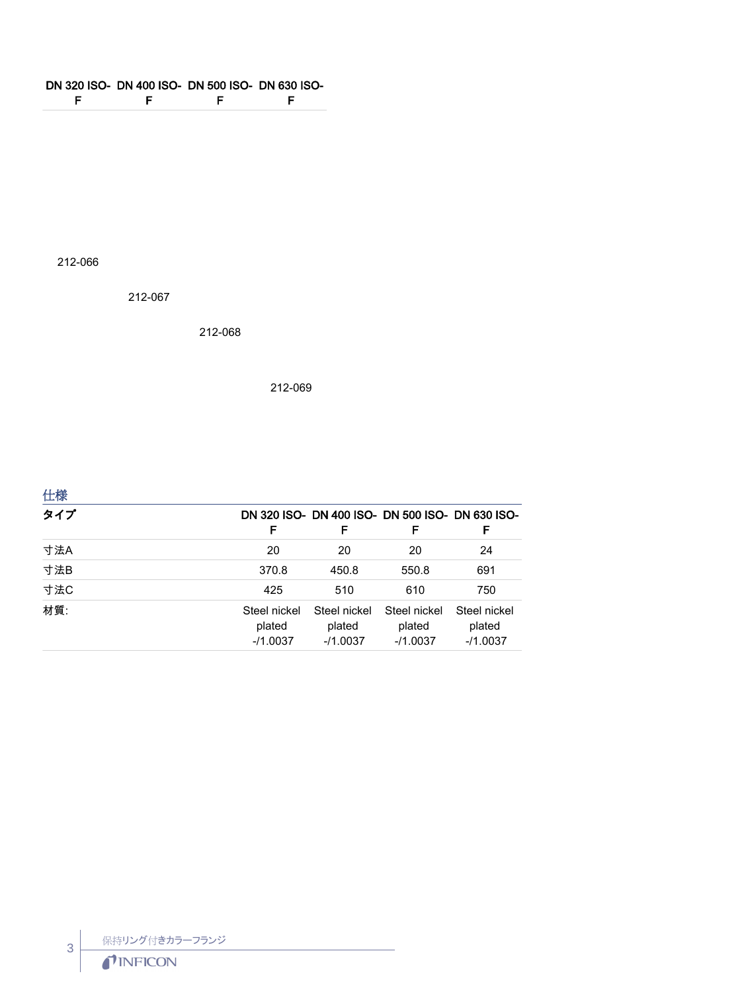## DN 320 ISO-DN 400 ISO-DN 500 ISO-DN 630 ISO-F F F F

212-066

212-067

212-068

212-069

| 仕様  |                                      |                                                      |                                      |                                      |
|-----|--------------------------------------|------------------------------------------------------|--------------------------------------|--------------------------------------|
| タイプ | F                                    | DN 320 ISO- DN 400 ISO- DN 500 ISO- DN 630 ISO-<br>F | F                                    | F                                    |
| 寸法A | 20                                   | 20                                                   | 20                                   | 24                                   |
| 寸法B | 370.8                                | 450.8                                                | 550.8                                | 691                                  |
| 寸法C | 425                                  | 510                                                  | 610                                  | 750                                  |
| 材質: | Steel nickel<br>plated<br>$-11.0037$ | Steel nickel<br>plated<br>$-11.0037$                 | Steel nickel<br>plated<br>$-11.0037$ | Steel nickel<br>plated<br>$-11.0037$ |

保持リング付きカラーフランジ<br>
● <mark>1</mark> INFICON

3